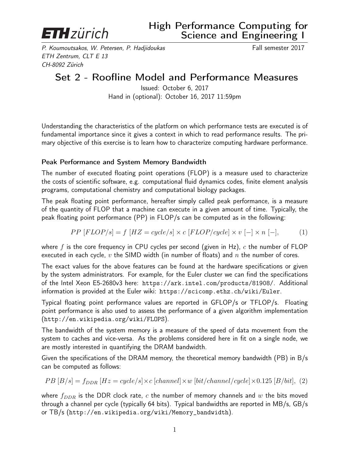

P. Koumoutsakos, W. Petersen, P. Hadjidoukas Fall semester 2017 ETH Zentrum, CLT E 13 CH-8092 Zürich

# Set 2 - Roofline Model and Performance Measures

Issued: October 6, 2017 Hand in (optional): October 16, 2017 11:59pm

Understanding the characteristics of the platform on which performance tests are executed is of fundamental importance since it gives a context in which to read performance results. The primary objective of this exercise is to learn how to characterize computing hardware performance.

#### Peak Performance and System Memory Bandwidth

The number of executed floating point operations (FLOP) is a measure used to characterize the costs of scientific software, e.g. computational fluid dynamics codes, finite element analysis programs, computational chemistry and computational biology packages.

The peak floating point performance, hereafter simply called peak performance, is a measure of the quantity of FLOP that a machine can execute in a given amount of time. Typically, the peak floating point performance (PP) in FLOP/s can be computed as in the following:

$$
PP [FLOP/s] = f [HZ = cycle/s] \times c [FLOP/cycle] \times v [-] \times n [-], \tag{1}
$$

where f is the core frequency in CPU cycles per second (given in Hz),  $c$  the number of FLOP executed in each cycle,  $v$  the SIMD width (in number of floats) and  $n$  the number of cores.

The exact values for the above features can be found at the hardware specifications or given by the system administrators. For example, for the Euler cluster we can find the specifications of the Intel Xeon E5-2680v3 here: https://ark.intel.com/products/81908/. Additional information is provided at the Euler wiki: https://scicomp.ethz.ch/wiki/Euler.

Typical floating point performance values are reported in GFLOP/s or TFLOP/s. Floating point performance is also used to assess the performance of a given algorithm implementation (http://en.wikipedia.org/wiki/FLOPS).

The bandwidth of the system memory is a measure of the speed of data movement from the system to caches and vice-versa. As the problems considered here in fit on a single node, we are mostly interested in quantifying the DRAM bandwidth.

Given the specifications of the DRAM memory, the theoretical memory bandwidth (PB) in B/s can be computed as follows:

$$
PB [B/s] = f_{DDR} [Hz = cycle/s] \times c [channel] \times w [bit/channel/cycle] \times 0.125 [B/bit], (2)
$$

where  $f_{DDR}$  is the DDR clock rate, c the number of memory channels and w the bits moved through a channel per cycle (typically 64 bits). Typical bandwidths are reported in MB/s, GB/s or TB/s (http://en.wikipedia.org/wiki/Memory\_bandwidth).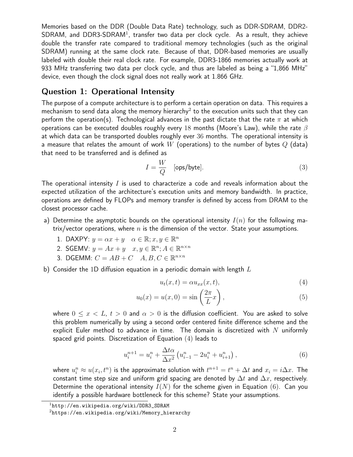Memories based on the DDR (Double Data Rate) technology, such as DDR-SDRAM, DDR2-  $SDRAM$ , and  $DDR3$ - $SDRAM<sup>1</sup>$ , transfer two data per clock cycle. As a result, they achieve double the transfer rate compared to traditional memory technologies (such as the original SDRAM) running at the same clock rate. Because of that, DDR-based memories are usually labeled with double their real clock rate. For example, DDR3-1866 memories actually work at 933 MHz transferring two data per clock cycle, and thus are labeled as being a "1,866 MHz" device, even though the clock signal does not really work at 1.866 GHz.

#### Question 1: Operational Intensity

The purpose of a compute architecture is to perform a certain operation on data. This requires a mechanism to send data along the memory hierarchy $^2$  to the execution units such that they can perform the operation(s). Technological advances in the past dictate that the rate  $\pi$  at which operations can be executed doubles roughly every 18 months (Moore's Law), while the rate  $\beta$ at which data can be transported doubles roughly ever 36 months. The operational intensity is a measure that relates the amount of work W (operations) to the number of bytes  $Q$  (data) that need to be transferred and is defined as

$$
I = \frac{W}{Q} \quad \text{[ops/byte]}.
$$
 (3)

The operational intensity  $I$  is used to characterize a code and reveals information about the expected utilization of the architecture's execution units and memory bandwidth. In practice, operations are defined by FLOPs and memory transfer is defined by access from DRAM to the closest processor cache.

- a) Determine the asymptotic bounds on the operational intensity  $I(n)$  for the following matrix/vector operations, where  $n$  is the dimension of the vector. State your assumptions.
	- 1. DAXPY:  $y = \alpha x + y \quad \alpha \in \mathbb{R}; x, y \in \mathbb{R}^n$
	- 2. SGEMV:  $y = Ax + y \quad x, y \in \mathbb{R}^n; A \in \mathbb{R}^{n \times n}$
	- 3. DGEMM:  $C = AB + C$   $A, B, C \in \mathbb{R}^{n \times n}$
- b) Consider the 1D diffusion equation in a periodic domain with length  $L$

$$
u_t(x,t) = \alpha u_{xx}(x,t),\tag{4}
$$

$$
u_0(x) = u(x,0) = \sin\left(\frac{2\pi}{L}x\right),\tag{5}
$$

where  $0 \leq x < L$ ,  $t > 0$  and  $\alpha > 0$  is the diffusion coefficient. You are asked to solve this problem numerically by using a second order centered finite difference scheme and the explicit Euler method to advance in time. The domain is discretized with  $N$  uniformly spaced grid points. Discretization of Equation (4) leads to

$$
u_i^{n+1} = u_i^n + \frac{\Delta t \alpha}{\Delta x^2} \left( u_{i-1}^n - 2u_i^n + u_{i+1}^n \right), \tag{6}
$$

where  $u_i^n \approx u(x_i,t^n)$  is the approximate solution with  $t^{n+1} = t^n + \Delta t$  and  $x_i = i\Delta x$ . The constant time step size and uniform grid spacing are denoted by  $\Delta t$  and  $\Delta x$ , respectively. Determine the operational intensity  $I(N)$  for the scheme given in Equation (6). Can you identify a possible hardware bottleneck for this scheme? State your assumptions.

 $1$ http://en.wikipedia.org/wiki/DDR3\_SDRAM

 $2$ https://en.wikipedia.org/wiki/Memory\_hierarchy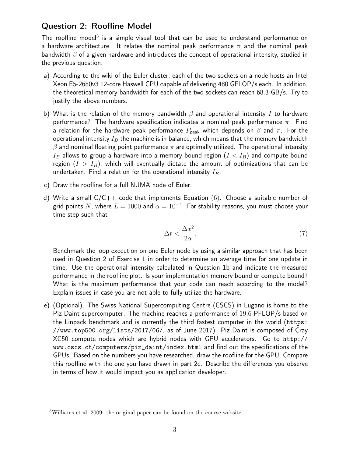### Question 2: Roofline Model

The roofline model<sup>3</sup> is a simple visual tool that can be used to understand performance on a hardware architecture. It relates the nominal peak performance  $\pi$  and the nominal peak bandwidth  $\beta$  of a given hardware and introduces the concept of operational intensity, studied in the previous question.

- a) According to the wiki of the Euler cluster, each of the two sockets on a node hosts an Intel Xeon E5-2680v3 12-core Haswell CPU capable of delivering 480 GFLOP/s each. In addition, the theoretical memory bandwidth for each of the two sockets can reach 68.3 GB/s. Try to justify the above numbers.
- b) What is the relation of the memory bandwidth  $\beta$  and operational intensity I to hardware performance? The hardware specification indicates a nominal peak performance  $\pi$ . Find a relation for the hardware peak performance  $P_{\text{peak}}$  which depends on  $\beta$  and  $\pi$ . For the operational intensity  $I_B$  the machine is in balance, which means that the memory bandwidth  $\beta$  and nominal floating point performance  $\pi$  are optimally utilized. The operational intensity  $I_B$  allows to group a hardware into a memory bound region  $(I < I_B)$  and compute bound region  $(I > I_B)$ , which will eventually dictate the amount of optimizations that can be undertaken. Find a relation for the operational intensity  $I_B$ .
- c) Draw the roofline for a full NUMA node of Euler.
- d) Write a small  $C/C++$  code that implements Equation (6). Choose a suitable number of grid points  $N$ , where  $L=1000$  and  $\alpha=10^{-4}.$  For stability reasons, you must choose your time step such that

$$
\Delta t < \frac{\Delta x^2}{2\alpha}.\tag{7}
$$

Benchmark the loop execution on one Euler node by using a similar approach that has been used in Question 2 of Exercise 1 in order to determine an average time for one update in time. Use the operational intensity calculated in Question 1b and indicate the measured performance in the roofline plot. Is your implementation memory bound or compute bound? What is the maximum performance that your code can reach according to the model? Explain issues in case you are not able to fully utilize the hardware.

e) (Optional). The Swiss National Supercomputing Centre (CSCS) in Lugano is home to the Piz Daint supercomputer. The machine reaches a performance of 19.6 PFLOP/s based on the Linpack benchmark and is currently the third fastest computer in the world (https: //www.top500.org/lists/2017/06/, as of June 2017). Piz Daint is composed of Cray XC50 compute nodes which are hybrid nodes with GPU accelerators. Go to http:// www.cscs.ch/computers/piz\_daint/index.html and find out the specifications of the GPUs. Based on the numbers you have researched, draw the roofline for the GPU. Compare this roofline with the one you have drawn in part 2c. Describe the differences you observe in terms of how it would impact you as application developer.

<sup>3</sup>Williams et al, 2009: the original paper can be found on the course website.